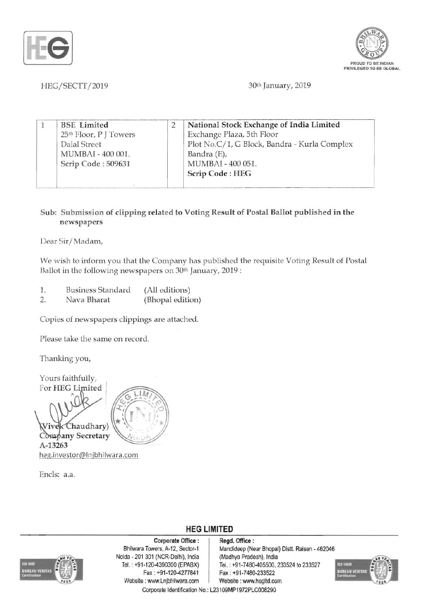



## HEG/SECTT/2019 30th January, 2019

| <b>BSE</b> Limited                 | National Stock Exchange of India Limited     |
|------------------------------------|----------------------------------------------|
| 25 <sup>th</sup> Floor, P J Towers | Exchange Plaza, 5th Floor                    |
| Dalal Street                       | Plot No.C/1, G Block, Bandra - Kurla Complex |
| MUMBAI - 400 001.                  | Bandra (E),                                  |
| Scrip Code: 509631                 | MUMBAI - 400 051.                            |
|                                    | Scrip Code: HEG                              |

## Sub: Submission of clipping related to Voting Result of Postal Ballot published in the newspapers

Dear Sir/Madam,

We wish to inform you that the Company has published the requisite Voting Result of Postal Ballot in the following newspapers on 30<sup>th</sup> January, 2019 :

- ], Business Standard (All editions)
- 2. Nava Bharat (Bhopal edition)

Copies of newspapers clippings are attached.

Please take the same on record.

Thanking you,

Yours faithfully, heg.investor@lnjbhilwara.com For HEG Limited ! I haudh ary) Company Secretary A-13263

Encls: a.a.



Noida - 201 301 (NCR-Delhi), India (Madhya Pradesh), India Fax: +91-120-4277841 | Fax: +91-7480-233522 Website : www.Lnjbhilwara.com | Website : www.hegltd.com

Corporate Office: | Regd. Office:

Bhilwara Towers, A-12, Sector-1 | Mandideep (Near Bhopal) Distt. Raisen - 462046 Tel. : +91-120-4390300 (EPABX) Tel. : +91-7480-405500, 233524 to 233527



Corporate Identification No.: L23109MP1972PLC008290

**HEG LIMITED**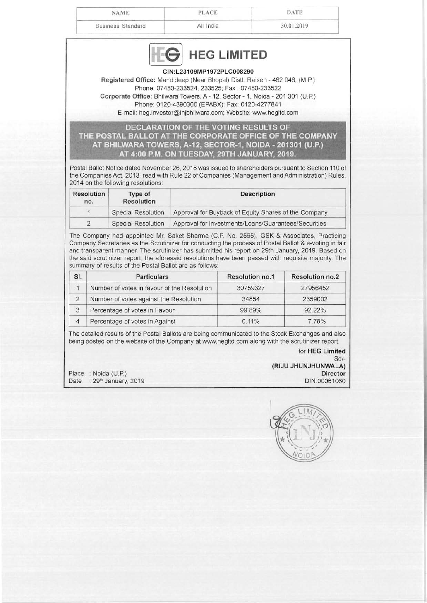NAME PLACE **PLACE** DATE

Business Standard All India 30.01.2019



**CIN: L231 09MP1972PLC008290** 

**Registered Office:** Mandideep (Near Bhopal) Distt. Raisen - 462046, (M.P.) Phone: 07480-233524, 233525; Fax: 07480-233522 **Corporate Office:** Bhilwara Towers, A - 12, Sector - 1, Noida - 201 301 (U. P.) Phone: 0120-4390300 (EPABX); Fax: 0120-4277841

E-mail: heg.investor@Injbhilwara.com; Website: www.hegltd.com

**DECLARATION OF THE VOTING RESULTS OF THE POSTAL BALLOT AT THE CORPORATE OFFICE OF THE COMPANY**  . **AT BHILWARA TOWERS, A-12, SECTOR-1, NOIDA - 201301 (U.P.) AT 4:00 P.M. ON TUESDAY, 29TH JANUARY, 2019.** 

Postal Ballot Notice dated November 26, 2018 was issued to shareholders pursuant to Section 110 of the Companies Act, 2013, read with Rule 22 of Companies (Management and Administration) Rules, 2014 on the following resolutions.

| Resolution<br>no. | Type of<br><b>Resolution</b> | Description                                          |
|-------------------|------------------------------|------------------------------------------------------|
|                   | Special Resolution           | Approval for Buyback of Equity Shares of the Company |
|                   | Special Resolution           | Approval for Investments/Loans/Guarantees/Securities |

The Company had appointed **Mr.** Saket Sharma (C.P. No. 2565), GSK & Associates, Practicing Company Secretaries as the Scrutinizer for conducting the process of Postal Ballot & e-voting in fair and transparent manner. The scrutinizer has submitted his report on 29th January, 2019. Based on the said scrutinizer report, the aforesaid resolutions have been passed with requisite majority. The summary of results of the Postal Ballot are as follows.

| SI.            | <b>Particulars</b>                          | <b>Resolution no.1</b> | <b>Resolution no.2</b> |
|----------------|---------------------------------------------|------------------------|------------------------|
| $\vert$        | Number of votes in favour of the Resolution | 30759327               | 27956452               |
| $\overline{2}$ | Number of votes against the Resolution      | 34854                  | 2359002                |
| 3              | Percentage of votes in Favour               | 99.89%                 | $92.22\%$              |
| 4              | Percentage of votes in Against              | 0.11%                  | 7.78%                  |

The detailed results of the Postal Ballots are being communicated to the Stock Exchanges and also being posted on the website of the Company at www.hegltd.com along with the scrutinizer report.

for **HEG Limited** 

Place • Noida (U .P.) **Director** 

Sd/ **(RIJU JHUNJHUNWALA)**  Date • 29<sup>th</sup> January, 2019 **DIN:00061060**